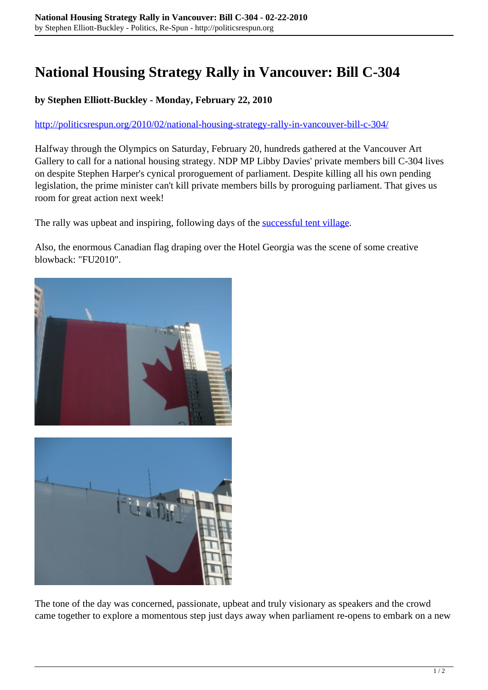# **National Housing Strategy Rally in Vancouver: Bill C-304**

#### **by Stephen Elliott-Buckley - Monday, February 22, 2010**

<http://politicsrespun.org/2010/02/national-housing-strategy-rally-in-vancouver-bill-c-304/>

Halfway through the Olympics on Saturday, February 20, hundreds gathered at the Vancouver Art Gallery to call for a national housing strategy. NDP MP Libby Davies' private members bill C-304 lives on despite Stephen Harper's cynical proroguement of parliament. Despite killing all his own pending legislation, the prime minister can't kill private members bills by proroguing parliament. That gives us room for great action next week!

The rally was upbeat and inspiring, following days of the **successful tent village**.

Also, the enormous Canadian flag draping over the Hotel Georgia was the scene of some creative blowback: "FU2010".



The tone of the day was concerned, passionate, upbeat and truly visionary as speakers and the crowd came together to explore a momentous step just days away when parliament re-opens to embark on a new